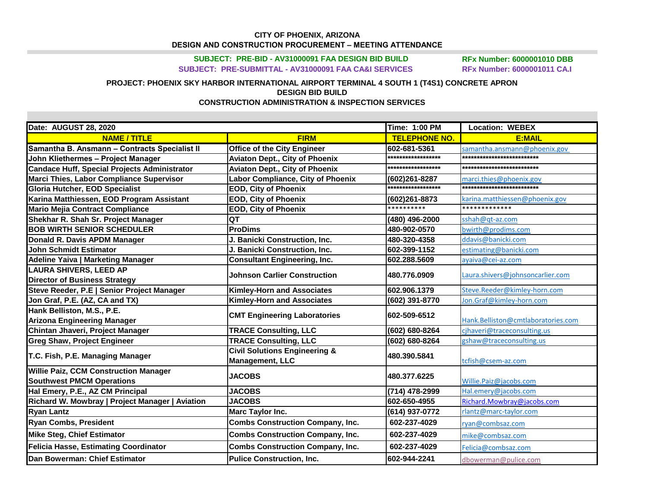## **CITY OF PHOENIX, ARIZONA** DESIGN AND CONSTRUCTION PROCUREMENT - MEETING ATTENDANCE

SUBJECT: PRE-BID - AV31000091 FAA DESIGN BID BUILD SUBJECT: PRE-SUBMITTAL - AV31000091 FAA CA&I SERVICES

**RFx Number: 6000001010 DBB RFx Number: 6000001011 CA.I** 

## PROJECT: PHOENIX SKY HARBOR INTERNATIONAL AIRPORT TERMINAL 4 SOUTH 1 (T4S1) CONCRETE APRON **DESIGN BID BUILD CONSTRUCTION ADMINISTRATION & INSPECTION SERVICES**

| Date: AUGUST 28, 2020                               |                                          | <b>Time: 1:00 PM</b> | <b>Location: WEBEX</b>             |
|-----------------------------------------------------|------------------------------------------|----------------------|------------------------------------|
| <b>NAME / TITLE</b>                                 | <b>FIRM</b>                              | <b>TELEPHONE NO.</b> | <b>E:MAIL</b>                      |
| Samantha B. Ansmann - Contracts Specialist II       | <b>Office of the City Engineer</b>       | 602-681-5361         | samantha.ansmann@phoenix.gov       |
| John Kliethermes - Project Manager                  | <b>Aviaton Dept., City of Phoenix</b>    | ******************   | **************************         |
| <b>Candace Huff, Special Projects Administrator</b> | <b>Aviaton Dept., City of Phoenix</b>    | ******************   | **************************         |
| Marci Thies, Labor Compliance Supervisor            | Labor Compliance, City of Phoenix        | (602)261-8287        | marci.thies@phoenix.gov            |
| <b>Gloria Hutcher, EOD Specialist</b>               | <b>EOD, City of Phoenix</b>              | ******************   | *************************          |
| Karina Matthiessen, EOD Program Assistant           | <b>EOD, City of Phoenix</b>              | (602)261-8873        | karina.matthiessen@phoenix.gov     |
| <b>Mario Mejia Contract Compliance</b>              | <b>EOD, City of Phoenix</b>              | **********           | *************                      |
| Shekhar R. Shah Sr. Project Manager                 | QT                                       | (480) 496-2000       | sshah@qt-az.com                    |
| <b>BOB WIRTH SENIOR SCHEDULER</b>                   | <b>ProDims</b>                           | 480-902-0570         | bwirth@prodims.com                 |
| Donald R. Davis APDM Manager                        | J. Banicki Construction, Inc.            | 480-320-4358         | ddavis@banicki.com                 |
| <b>John Schmidt Estimator</b>                       | J. Banicki Construction, Inc.            | 602-399-1152         | estimating@banicki.com             |
| Adeline Yaiva   Marketing Manager                   | <b>Consultant Engineering, Inc.</b>      | 602.288.5609         | ayaiva@cei-az.com                  |
| <b>LAURA SHIVERS, LEED AP</b>                       | <b>Johnson Carlier Construction</b>      | 480.776.0909         | Laura.shivers@johnsoncarlier.com   |
| <b>Director of Business Strategy</b>                |                                          |                      |                                    |
| Steve Reeder, P.E   Senior Project Manager          | <b>Kimley-Horn and Associates</b>        | 602.906.1379         | Steve.Reeder@kimley-horn.com       |
| Jon Graf, P.E. (AZ, CA and TX)                      | <b>Kimley-Horn and Associates</b>        | (602) 391-8770       | Jon.Graf@kimley-horn.com           |
| Hank Belliston, M.S., P.E.                          | <b>CMT Engineering Laboratories</b>      | 602-509-6512         |                                    |
| <b>Arizona Engineering Manager</b>                  |                                          |                      | Hank.Belliston@cmtlaboratories.com |
| Chintan Jhaveri, Project Manager                    | <b>TRACE Consulting, LLC</b>             | (602) 680-8264       | cjhaveri@traceconsulting.us        |
| <b>Greg Shaw, Project Engineer</b>                  | <b>TRACE Consulting, LLC</b>             | (602) 680-8264       | gshaw@traceconsulting.us           |
| T.C. Fish, P.E. Managing Manager                    | <b>Civil Solutions Engineering &amp;</b> | 480.390.5841         |                                    |
|                                                     | Management, LLC                          |                      | tcfish@csem-az.com                 |
| <b>Willie Paiz, CCM Construction Manager</b>        | <b>JACOBS</b>                            | 480.377.6225         |                                    |
| <b>Southwest PMCM Operations</b>                    |                                          |                      | Willie.Paiz@jacobs.com             |
| Hal Emery, P.E., AZ CM Principal                    | <b>JACOBS</b>                            | (714) 478-2999       | Hal.emery@jacobs.com               |
| Richard W. Mowbray   Project Manager   Aviation     | <b>JACOBS</b>                            | 602-650-4955         | Richard.Mowbray@jacobs.com         |
| <b>Ryan Lantz</b>                                   | Marc Taylor Inc.                         | (614) 937-0772       | rlantz@marc-taylor.com             |
| <b>Ryan Combs, President</b>                        | <b>Combs Construction Company, Inc.</b>  | 602-237-4029         | ryan@combsaz.com                   |
| <b>Mike Steg, Chief Estimator</b>                   | <b>Combs Construction Company, Inc.</b>  | 602-237-4029         | mike@combsaz.com                   |
| Felicia Hasse, Estimating Coordinator               | <b>Combs Construction Company, Inc.</b>  | 602-237-4029         | Felicia@combsaz.com                |
| Dan Bowerman: Chief Estimator                       | <b>Pulice Construction, Inc.</b>         | 602-944-2241         | dbowerman@pulice.com               |